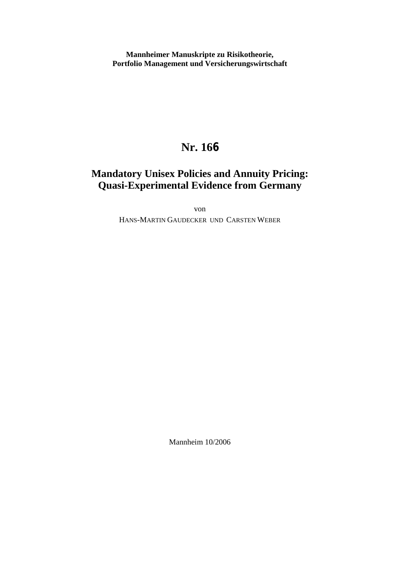**Mannheimer Manuskripte zu Risikotheorie, Portfolio Management und Versicherungswirtschaft**

# **Nr. 166**

# **Mandatory Unisex Policies and Annuity Pricing: Quasi-Experimental Evidence from Germany**

von

HANS-MARTIN GAUDECKER UND CARSTEN WEBER

Mannheim 10/2006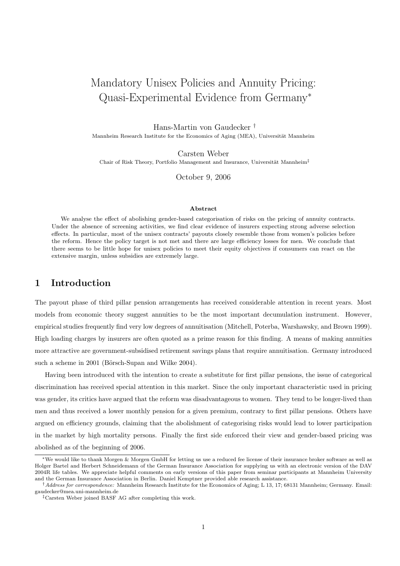# Mandatory Unisex Policies and Annuity Pricing: Quasi-Experimental Evidence from Germany<sup>∗</sup>

Hans-Martin von Gaudecker †

Mannheim Research Institute for the Economics of Aging (MEA), Universität Mannheim

Carsten Weber

Chair of Risk Theory, Portfolio Management and Insurance, Universität Mannheim<sup>‡</sup>

October 9, 2006

#### Abstract

We analyse the effect of abolishing gender-based categorisation of risks on the pricing of annuity contracts. Under the absence of screening activities, we find clear evidence of insurers expecting strong adverse selection effects. In particular, most of the unisex contracts' payouts closely resemble those from women's policies before the reform. Hence the policy target is not met and there are large efficiency losses for men. We conclude that there seems to be little hope for unisex policies to meet their equity objectives if consumers can react on the extensive margin, unless subsidies are extremely large.

## 1 Introduction

The payout phase of third pillar pension arrangements has received considerable attention in recent years. Most models from economic theory suggest annuities to be the most important decumulation instrument. However, empirical studies frequently find very low degrees of annuitisation (Mitchell, Poterba, Warshawsky, and Brown 1999). High loading charges by insurers are often quoted as a prime reason for this finding. A means of making annuities more attractive are government-subsidised retirement savings plans that require annuitisation. Germany introduced such a scheme in 2001 (Börsch-Supan and Wilke 2004).

Having been introduced with the intention to create a substitute for first pillar pensions, the issue of categorical discrimination has received special attention in this market. Since the only important characteristic used in pricing was gender, its critics have argued that the reform was disadvantageous to women. They tend to be longer-lived than men and thus received a lower monthly pension for a given premium, contrary to first pillar pensions. Others have argued on efficiency grounds, claiming that the abolishment of categorising risks would lead to lower participation in the market by high mortality persons. Finally the first side enforced their view and gender-based pricing was abolished as of the beginning of 2006.

<sup>∗</sup>We would like to thank Morgen & Morgen GmbH for letting us use a reduced fee license of their insurance broker software as well as Holger Bartel and Herbert Schneidemann of the German Insurance Association for supplying us with an electronic version of the DAV 2004R life tables. We appreciate helpful comments on early versions of this paper from seminar participants at Mannheim University and the German Insurance Association in Berlin. Daniel Kemptner provided able research assistance.

 $^{\dagger}$ Address for correspondence: Mannheim Research Institute for the Economics of Aging; L 13, 17; 68131 Mannheim; Germany. Email: gaudecker@mea.uni-mannheim.de

<sup>‡</sup>Carsten Weber joined BASF AG after completing this work.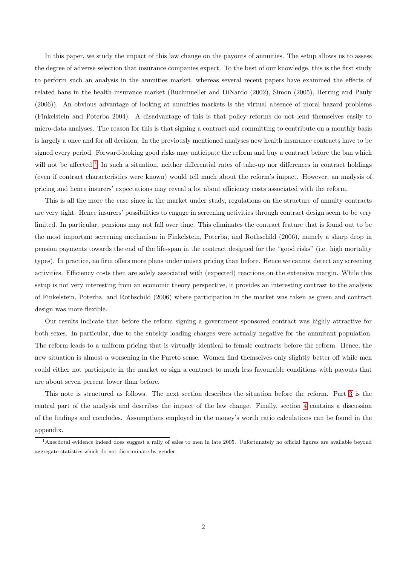In this paper, we study the impact of this law change on the payouts of annuities. The setup allows us to assess the degree of adverse selection that insurance companies expect. To the best of our knowledge, this is the first study to perform such an analysis in the annuities market, whereas several recent papers have examined the effects of related bans in the health insurance market (Buchmueller and DiNardo (2002), Simon (2005), Herring and Pauly (2006)). An obvious advantage of looking at annuities markets is the virtual absence of moral hazard problems (Finkelstein and Poterba 2004). A disadvantage of this is that policy reforms do not lend themselves easily to micro-data analyses. The reason for this is that signing a contract and committing to contribute on a monthly basis is largely a once and for all decision. In the previously mentioned analyses new health insurance contracts have to be signed every period. Forward-looking good risks may anticipate the reform and buy a contract before the ban which will not be affected.<sup>[1](#page-2-0)</sup> In such a situation, neither differential rates of take-up nor differences in contract holdings (even if contract characteristics were known) would tell much about the reform's impact. However, an analysis of pricing and hence insurers' expectations may reveal a lot about efficiency costs associated with the reform.

This is all the more the case since in the market under study, regulations on the structure of annuity contracts are very tight. Hence insurers' possibilities to engage in screening activities through contract design seem to be very limited. In particular, pensions may not fall over time. This eliminates the contract feature that is found out to be the most important screening mechanism in Finkelstein, Poterba, and Rothschild (2006), namely a sharp drop in pension payments towards the end of the life-span in the contract designed for the "good risks" (i.e. high mortality types). In practice, no firm offers more plans under unisex pricing than before. Hence we cannot detect any screening activities. Efficiency costs then are solely associated with (expected) reactions on the extensive margin. While this setup is not very interesting from an economic theory perspective, it provides an interesting contrast to the analysis of Finkelstein, Poterba, and Rothschild (2006) where participation in the market was taken as given and contract design was more flexible.

Our results indicate that before the reform signing a government-sponsored contract was highly attractive for both sexes. In particular, due to the subsidy loading charges were actually negative for the annuitant population. The reform leads to a uniform pricing that is virtually identical to female contracts before the reform. Hence, the new situation is almost a worsening in the Pareto sense. Women find themselves only slightly better off while men could either not participate in the market or sign a contract to much less favourable conditions with payouts that are about seven percent lower than before.

This note is structured as follows. The next section describes the situation before the reform. Part [3](#page-4-0) is the central part of the analysis and describes the impact of the law change. Finally, section [4](#page-6-0) contains a discussion of the findings and concludes. Assumptions employed in the money's worth ratio calculations can be found in the appendix.

<span id="page-2-0"></span><sup>&</sup>lt;sup>1</sup> Anecdotal evidence indeed does suggest a rally of sales to men in late 2005. Unfortunately no official figures are available beyond aggregate statistics which do not discriminate by gender.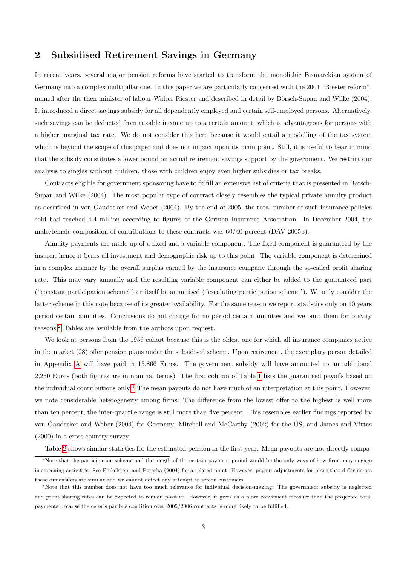# 2 Subsidised Retirement Savings in Germany

In recent years, several major pension reforms have started to transform the monolithic Bismarckian system of Germany into a complex multipillar one. In this paper we are particularly concerned with the 2001 "Riester reform", named after the then minister of labour Walter Riester and described in detail by Börsch-Supan and Wilke (2004). It introduced a direct savings subsidy for all dependently employed and certain self-employed persons. Alternatively, such savings can be deducted from taxable income up to a certain amount, which is advantageous for persons with a higher marginal tax rate. We do not consider this here because it would entail a modelling of the tax system which is beyond the scope of this paper and does not impact upon its main point. Still, it is useful to bear in mind that the subsidy constitutes a lower bound on actual retirement savings support by the government. We restrict our analysis to singles without children, those with children enjoy even higher subsidies or tax breaks.

Contracts eligible for government sponsoring have to fulfill an extensive list of criteria that is presented in Börsch-Supan and Wilke (2004). The most popular type of contract closely resembles the typical private annuity product as described in von Gaudecker and Weber (2004). By the end of 2005, the total number of such insurance policies sold had reached 4.4 million according to figures of the German Insurance Association. In December 2004, the male/female composition of contributions to these contracts was 60/40 percent (DAV 2005b).

Annuity payments are made up of a fixed and a variable component. The fixed component is guaranteed by the insurer, hence it bears all investment and demographic risk up to this point. The variable component is determined in a complex manner by the overall surplus earned by the insurance company through the so-called profit sharing rate. This may vary annually and the resulting variable component can either be added to the guaranteed part ("constant participation scheme") or itself be annuitised ("escalating participation scheme"). We only consider the latter scheme in this note because of its greater availability. For the same reason we report statistics only on 10 years period certain annuities. Conclusions do not change for no period certain annuities and we omit them for brevity reasons.[2](#page-3-0) Tables are available from the authors upon request.

We look at persons from the 1956 cohort because this is the oldest one for which all insurance companies active in the market (28) offer pension plans under the subsidised scheme. Upon retirement, the exemplary person detailed in Appendix [A](#page-6-1) will have paid in 15,866 Euros. The government subsidy will have amounted to an additional 2,230 Euros (both figures are in nominal terms). The first column of Table [1](#page-8-0) lists the guaranteed payoffs based on the individual contributions only.<sup>[3](#page-3-1)</sup> The mean payouts do not have much of an interpretation at this point. However, we note considerable heterogeneity among firms: The difference from the lowest offer to the highest is well more than ten percent, the inter-quartile range is still more than five percent. This resembles earlier findings reported by von Gaudecker and Weber (2004) for Germany; Mitchell and McCarthy (2002) for the US; and James and Vittas (2000) in a cross-country survey.

<span id="page-3-0"></span>Table [2](#page-9-0) shows similar statistics for the estimated pension in the first year. Mean payouts are not directly compa-

<sup>&</sup>lt;sup>2</sup>Note that the participation scheme and the length of the certain payment period would be the only ways of how firms may engage in screening activities. See Finkelstein and Poterba (2004) for a related point. However, payout adjustments for plans that differ across these dimensions are similar and we cannot detect any attempt to screen customers.

<span id="page-3-1"></span><sup>&</sup>lt;sup>3</sup>Note that this number does not have too much relevance for individual decision-making: The government subsidy is neglected and profit sharing rates can be expected to remain positive. However, it gives us a more convenient measure than the projected total payments because the ceteris paribus condition over 2005/2006 contracts is more likely to be fulfilled.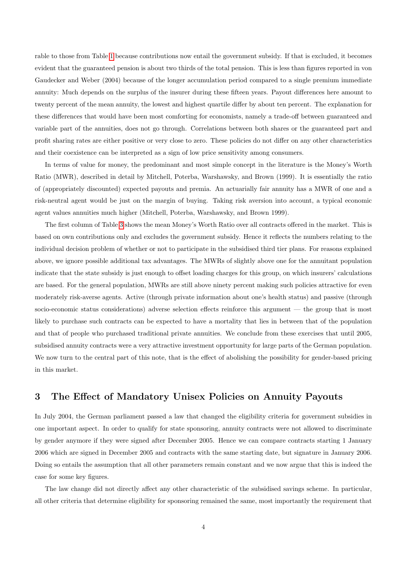rable to those from Table [1](#page-8-0) because contributions now entail the government subsidy. If that is excluded, it becomes evident that the guaranteed pension is about two thirds of the total pension. This is less than figures reported in von Gaudecker and Weber (2004) because of the longer accumulation period compared to a single premium immediate annuity: Much depends on the surplus of the insurer during these fifteen years. Payout differences here amount to twenty percent of the mean annuity, the lowest and highest quartile differ by about ten percent. The explanation for these differences that would have been most comforting for economists, namely a trade-off between guaranteed and variable part of the annuities, does not go through. Correlations between both shares or the guaranteed part and profit sharing rates are either positive or very close to zero. These policies do not differ on any other characteristics and their coexistence can be interpreted as a sign of low price sensitivity among consumers.

In terms of value for money, the predominant and most simple concept in the literature is the Money's Worth Ratio (MWR), described in detail by Mitchell, Poterba, Warshawsky, and Brown (1999). It is essentially the ratio of (appropriately discounted) expected payouts and premia. An actuarially fair annuity has a MWR of one and a risk-neutral agent would be just on the margin of buying. Taking risk aversion into account, a typical economic agent values annuities much higher (Mitchell, Poterba, Warshawsky, and Brown 1999).

The first column of Table [3](#page-9-1) shows the mean Money's Worth Ratio over all contracts offered in the market. This is based on own contributions only and excludes the government subsidy. Hence it reflects the numbers relating to the individual decision problem of whether or not to participate in the subsidised third tier plans. For reasons explained above, we ignore possible additional tax advantages. The MWRs of slightly above one for the annuitant population indicate that the state subsidy is just enough to offset loading charges for this group, on which insurers' calculations are based. For the general population, MWRs are still above ninety percent making such policies attractive for even moderately risk-averse agents. Active (through private information about one's health status) and passive (through socio-economic status considerations) adverse selection effects reinforce this argument — the group that is most likely to purchase such contracts can be expected to have a mortality that lies in between that of the population and that of people who purchased traditional private annuities. We conclude from these exercises that until 2005, subsidised annuity contracts were a very attractive investment opportunity for large parts of the German population. We now turn to the central part of this note, that is the effect of abolishing the possibility for gender-based pricing in this market.

# <span id="page-4-0"></span>3 The Effect of Mandatory Unisex Policies on Annuity Payouts

In July 2004, the German parliament passed a law that changed the eligibility criteria for government subsidies in one important aspect. In order to qualify for state sponsoring, annuity contracts were not allowed to discriminate by gender anymore if they were signed after December 2005. Hence we can compare contracts starting 1 January 2006 which are signed in December 2005 and contracts with the same starting date, but signature in January 2006. Doing so entails the assumption that all other parameters remain constant and we now argue that this is indeed the case for some key figures.

The law change did not directly affect any other characteristic of the subsidised savings scheme. In particular, all other criteria that determine eligibility for sponsoring remained the same, most importantly the requirement that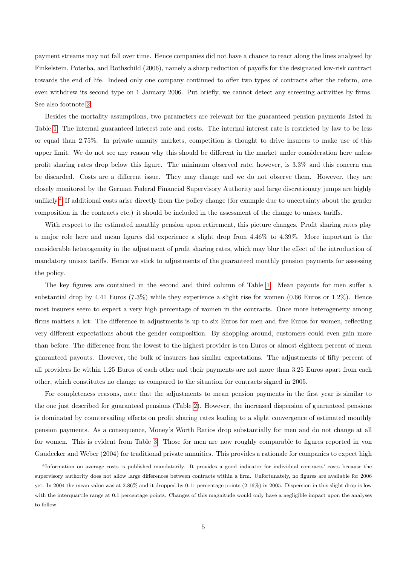payment streams may not fall over time. Hence companies did not have a chance to react along the lines analysed by Finkelstein, Poterba, and Rothschild (2006), namely a sharp reduction of payoffs for the designated low-risk contract towards the end of life. Indeed only one company continued to offer two types of contracts after the reform, one even withdrew its second type on 1 January 2006. Put briefly, we cannot detect any screening activities by firms. See also footnote [2.](#page-3-0)

Besides the mortality assumptions, two parameters are relevant for the guaranteed pension payments listed in Table [1:](#page-8-0) The internal guaranteed interest rate and costs. The internal interest rate is restricted by law to be less or equal than 2.75%. In private annuity markets, competition is thought to drive insurers to make use of this upper limit. We do not see any reason why this should be different in the market under consideration here unless profit sharing rates drop below this figure. The minimum observed rate, however, is 3.3% and this concern can be discarded. Costs are a different issue. They may change and we do not observe them. However, they are closely monitored by the German Federal Financial Supervisory Authority and large discretionary jumps are highly unlikely.<sup>[4](#page-5-0)</sup> If additional costs arise directly from the policy change (for example due to uncertainty about the gender composition in the contracts etc.) it should be included in the assessment of the change to unisex tariffs.

With respect to the estimated monthly pension upon retirement, this picture changes. Profit sharing rates play a major role here and mean figures did experience a slight drop from 4.46% to 4.39%. More important is the considerable heterogeneity in the adjustment of profit sharing rates, which may blur the effect of the introduction of mandatory unisex tariffs. Hence we stick to adjustments of the guaranteed monthly pension payments for assessing the policy.

The key figures are contained in the second and third column of Table [1.](#page-8-0) Mean payouts for men suffer a substantial drop by 4.41 Euros  $(7.3\%)$  while they experience a slight rise for women  $(0.66$  Euros or  $1.2\%)$ . Hence most insurers seem to expect a very high percentage of women in the contracts. Once more heterogeneity among firms matters a lot: The difference in adjustments is up to six Euros for men and five Euros for women, reflecting very different expectations about the gender composition. By shopping around, customers could even gain more than before. The difference from the lowest to the highest provider is ten Euros or almost eighteen percent of mean guaranteed payouts. However, the bulk of insurers has similar expectations. The adjustments of fifty percent of all providers lie within 1.25 Euros of each other and their payments are not more than 3.25 Euros apart from each other, which constitutes no change as compared to the situation for contracts signed in 2005.

For completeness reasons, note that the adjustments to mean pension payments in the first year is similar to the one just described for guaranteed pensions (Table [2\)](#page-9-0). However, the increased dispersion of guaranteed pensions is dominated by countervailing effects on profit sharing rates leading to a slight convergence of estimated monthly pension payments. As a consequence, Money's Worth Ratios drop substantially for men and do not change at all for women. This is evident from Table [3.](#page-9-1) Those for men are now roughly comparable to figures reported in von Gaudecker and Weber (2004) for traditional private annuities. This provides a rationale for companies to expect high

<span id="page-5-0"></span><sup>4</sup> Information on average costs is published mandatorily. It provides a good indicator for individual contracts' costs because the supervisory authority does not allow large differences between contracts within a firm. Unfortunately, no figures are available for 2006 yet. In 2004 the mean value was at 2.86% and it dropped by 0.11 percentage points (2.16%) in 2005. Dispersion in this slight drop is low with the interquartile range at 0.1 percentage points. Changes of this magnitude would only have a negligible impact upon the analyses to follow.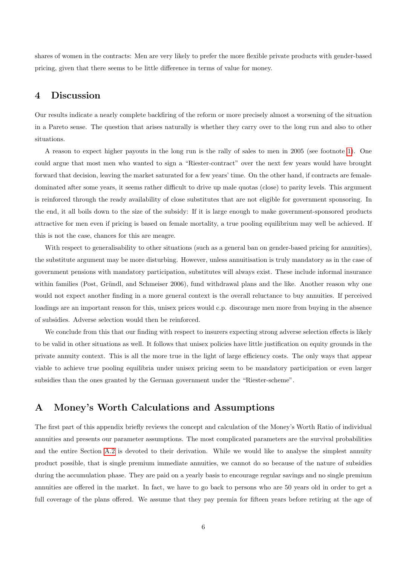shares of women in the contracts: Men are very likely to prefer the more flexible private products with gender-based pricing, given that there seems to be little difference in terms of value for money.

### <span id="page-6-0"></span>4 Discussion

Our results indicate a nearly complete backfiring of the reform or more precisely almost a worsening of the situation in a Pareto sense. The question that arises naturally is whether they carry over to the long run and also to other situations.

A reason to expect higher payouts in the long run is the rally of sales to men in 2005 (see footnote [1\)](#page-2-0). One could argue that most men who wanted to sign a "Riester-contract" over the next few years would have brought forward that decision, leaving the market saturated for a few years' time. On the other hand, if contracts are femaledominated after some years, it seems rather difficult to drive up male quotas (close) to parity levels. This argument is reinforced through the ready availability of close substitutes that are not eligible for government sponsoring. In the end, it all boils down to the size of the subsidy: If it is large enough to make government-sponsored products attractive for men even if pricing is based on female mortality, a true pooling equilibrium may well be achieved. If this is not the case, chances for this are meagre.

With respect to generalisability to other situations (such as a general ban on gender-based pricing for annuities), the substitute argument may be more disturbing. However, unless annuitisation is truly mandatory as in the case of government pensions with mandatory participation, substitutes will always exist. These include informal insurance within families (Post, Gründl, and Schmeiser 2006), fund withdrawal plans and the like. Another reason why one would not expect another finding in a more general context is the overall reluctance to buy annuities. If perceived loadings are an important reason for this, unisex prices would c.p. discourage men more from buying in the absence of subsidies. Adverse selection would then be reinforced.

We conclude from this that our finding with respect to insurers expecting strong adverse selection effects is likely to be valid in other situations as well. It follows that unisex policies have little justification on equity grounds in the private annuity context. This is all the more true in the light of large efficiency costs. The only ways that appear viable to achieve true pooling equilibria under unisex pricing seem to be mandatory participation or even larger subsidies than the ones granted by the German government under the "Riester-scheme".

## <span id="page-6-1"></span>A Money's Worth Calculations and Assumptions

The first part of this appendix briefly reviews the concept and calculation of the Money's Worth Ratio of individual annuities and presents our parameter assumptions. The most complicated parameters are the survival probabilities and the entire Section [A.2](#page-7-0) is devoted to their derivation. While we would like to analyse the simplest annuity product possible, that is single premium immediate annuities, we cannot do so because of the nature of subsidies during the accumulation phase. They are paid on a yearly basis to encourage regular savings and no single premium annuities are offered in the market. In fact, we have to go back to persons who are 50 years old in order to get a full coverage of the plans offered. We assume that they pay premia for fifteen years before retiring at the age of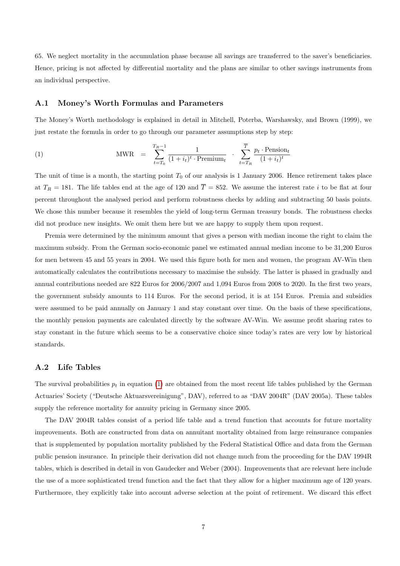65. We neglect mortality in the accumulation phase because all savings are transferred to the saver's beneficiaries. Hence, pricing is not affected by differential mortality and the plans are similar to other savings instruments from an individual perspective.

### A.1 Money's Worth Formulas and Parameters

The Money's Worth methodology is explained in detail in Mitchell, Poterba, Warshawsky, and Brown (1999), we just restate the formula in order to go through our parameter assumptions step by step:

<span id="page-7-1"></span>(1) 
$$
\text{MWR} = \sum_{t=T_0}^{T_R-1} \frac{1}{(1+i_t)^t \cdot \text{Premium}_t} \cdot \sum_{t=T_R}^{\overline{T}} \frac{p_t \cdot \text{Pension}_t}{(1+i_t)^t}
$$

The unit of time is a month, the starting point  $T_0$  of our analysis is 1 January 2006. Hence retirement takes place at  $T_R = 181$ . The life tables end at the age of 120 and  $\overline{T} = 852$ . We assume the interest rate *i* to be flat at four percent throughout the analysed period and perform robustness checks by adding and subtracting 50 basis points. We chose this number because it resembles the yield of long-term German treasury bonds. The robustness checks did not produce new insights. We omit them here but we are happy to supply them upon request.

Premia were determined by the minimum amount that gives a person with median income the right to claim the maximum subsidy. From the German socio-economic panel we estimated annual median income to be 31,200 Euros for men between 45 and 55 years in 2004. We used this figure both for men and women, the program AV-Win then automatically calculates the contributions necessary to maximise the subsidy. The latter is phased in gradually and annual contributions needed are 822 Euros for 2006/2007 and 1,094 Euros from 2008 to 2020. In the first two years, the government subsidy amounts to 114 Euros. For the second period, it is at 154 Euros. Premia and subsidies were assumed to be paid annually on January 1 and stay constant over time. On the basis of these specifications, the monthly pension payments are calculated directly by the software AV-Win. We assume profit sharing rates to stay constant in the future which seems to be a conservative choice since today's rates are very low by historical standards.

### <span id="page-7-0"></span>A.2 Life Tables

The survival probabilities  $p_t$  in equation [\(1\)](#page-7-1) are obtained from the most recent life tables published by the German Actuaries' Society ("Deutsche Aktuarsvereinigung", DAV), referred to as "DAV 2004R" (DAV 2005a). These tables supply the reference mortality for annuity pricing in Germany since 2005.

The DAV 2004R tables consist of a period life table and a trend function that accounts for future mortality improvements. Both are constructed from data on annuitant mortality obtained from large reinsurance companies that is supplemented by population mortality published by the Federal Statistical Office and data from the German public pension insurance. In principle their derivation did not change much from the proceeding for the DAV 1994R tables, which is described in detail in von Gaudecker and Weber (2004). Improvements that are relevant here include the use of a more sophisticated trend function and the fact that they allow for a higher maximum age of 120 years. Furthermore, they explicitly take into account adverse selection at the point of retirement. We discard this effect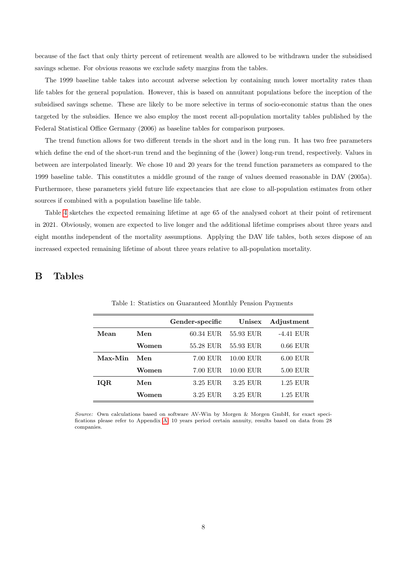because of the fact that only thirty percent of retirement wealth are allowed to be withdrawn under the subsidised savings scheme. For obvious reasons we exclude safety margins from the tables.

The 1999 baseline table takes into account adverse selection by containing much lower mortality rates than life tables for the general population. However, this is based on annuitant populations before the inception of the subsidised savings scheme. These are likely to be more selective in terms of socio-economic status than the ones targeted by the subsidies. Hence we also employ the most recent all-population mortality tables published by the Federal Statistical Office Germany (2006) as baseline tables for comparison purposes.

The trend function allows for two different trends in the short and in the long run. It has two free parameters which define the end of the short-run trend and the beginning of the (lower) long-run trend, respectively. Values in between are interpolated linearly. We chose 10 and 20 years for the trend function parameters as compared to the 1999 baseline table. This constitutes a middle ground of the range of values deemed reasonable in DAV (2005a). Furthermore, these parameters yield future life expectancies that are close to all-population estimates from other sources if combined with a population baseline life table.

Table [4](#page-9-2) sketches the expected remaining lifetime at age 65 of the analysed cohort at their point of retirement in 2021. Obviously, women are expected to live longer and the additional lifetime comprises about three years and eight months independent of the mortality assumptions. Applying the DAV life tables, both sexes dispose of an increased expected remaining lifetime of about three years relative to all-population mortality.

# B Tables

<span id="page-8-0"></span>

|         |       | Gender-specific | Unisex      | Adjustment  |
|---------|-------|-----------------|-------------|-------------|
| Mean    | Men   | 60.34 EUR       | 55.93 EUR   | $-4.41$ EUR |
|         | Women | 55.28 EUR       | 55.93 EUR   | $0.66$ EUR  |
| Max-Min | Men   | 7.00 EUR        | 10.00 EUR   | $6.00$ EUR  |
|         | Women | 7.00 EUR        | $10.00$ EUR | $5.00$ EUR  |
| IQR     | Men   | 3.25 EUR        | 3.25 EUR    | $1.25$ EUR  |
|         | Women | 3.25 EUR        | 3.25 EUR    | 1.25 EUR    |

Table 1: Statistics on Guaranteed Monthly Pension Payments

Source: Own calculations based on software AV-Win by Morgen & Morgen GmbH, for exact specifications please refer to Appendix [A.](#page-6-1) 10 years period certain annuity, results based on data from 28 companies.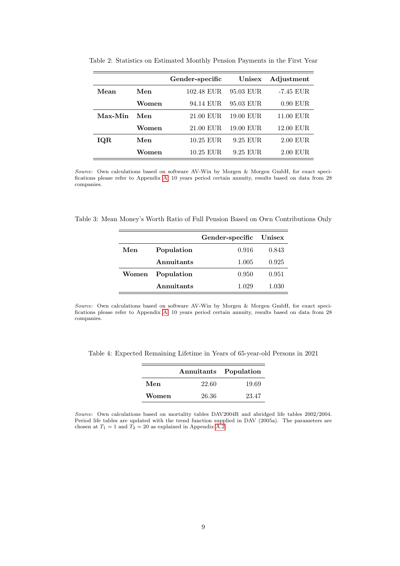|         |       | Gender-specific | Unisex    | Adjustment  |
|---------|-------|-----------------|-----------|-------------|
| Mean    | Men   | 102.48 EUR      | 95.03 EUR | -7.45 EUR   |
|         | Women | 94.14 EUR       | 95.03 EUR | $0.90$ EUR  |
| Max-Min | Men   | 21.00 EUR       | 19.00 EUR | $11.00$ EUR |
|         | Women | 21.00 EUR       | 19.00 EUR | 12.00 EUR   |
| IQR     | Men   | 10.25 EUR       | 9.25 EUR  | $2.00$ EUR  |
|         | Women | 10.25 EUR       | 9.25 EUR  | 2.00 EUR    |

<span id="page-9-0"></span>Table 2: Statistics on Estimated Monthly Pension Payments in the First Year

Source: Own calculations based on software AV-Win by Morgen & Morgen GmbH, for exact specifications please refer to Appendix [A.](#page-6-1) 10 years period certain annuity, results based on data from 28 companies.

<span id="page-9-1"></span>Table 3: Mean Money's Worth Ratio of Full Pension Based on Own Contributions Only

|       |            | Gender-specific Unisex |       |
|-------|------------|------------------------|-------|
| Men   | Population | 0.916                  | 0.843 |
|       | Annuitants | 1.005                  | 0.925 |
| Women | Population | 0.950                  | 0.951 |
|       | Annuitants | 1.029                  | 1.030 |

Source: Own calculations based on software AV-Win by Morgen & Morgen GmbH, for exact specifications please refer to Appendix [A.](#page-6-1) 10 years period certain annuity, results based on data from 28 companies.

<span id="page-9-2"></span>Table 4: Expected Remaining Lifetime in Years of 65-year-old Persons in 2021

|       | Annuitants Population |       |
|-------|-----------------------|-------|
| Men   | 22.60                 | 19.69 |
| Women | 26.36                 | 23.47 |

Source: Own calculations based on mortality tables DAV2004R and abridged life tables  $2002/2004$ . Period life tables are updated with the trend function supplied in DAV (2005a). The parameters are chosen at  $T_1 = 1$  and  $T_2 = 20$  as explained in Appendix [A.2.](#page-7-0)